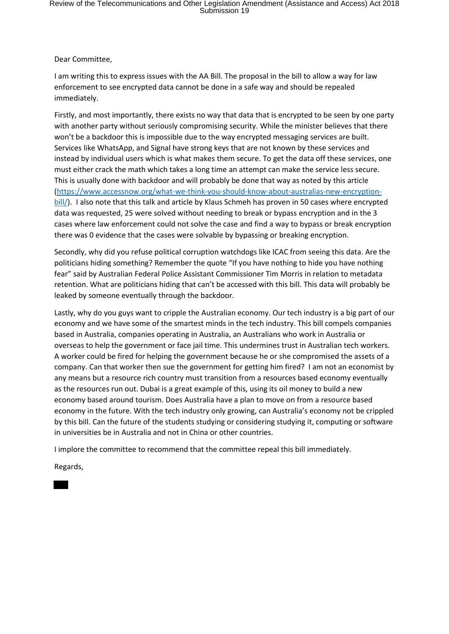Dear Committee,

I am writing this to express issues with the AA Bill. The proposal in the bill to allow a way for law enforcement to see encrypted data cannot be done in a safe way and should be repealed immediately.

Firstly, and most importantly, there exists no way that data that is encrypted to be seen by one party with another party without seriously compromising security. While the minister believes that there won't be a backdoor this is impossible due to the way encrypted messaging services are built. Services like WhatsApp, and Signal have strong keys that are not known by these services and instead by individual users which is what makes them secure. To get the data off these services, one must either crack the math which takes a long time an attempt can make the service less secure. This is usually done with backdoor and will probably be done that way as noted by this article (https://www.accessnow.org/what-we-think-you-should-know-about-australias-new-encryptionbill/). I also note that this talk and article by Klaus Schmeh has proven in 50 cases where encrypted data was requested, 25 were solved without needing to break or bypass encryption and in the 3 cases where law enforcement could not solve the case and find a way to bypass or break encryption there was 0 evidence that the cases were solvable by bypassing or breaking encryption.

Secondly, why did you refuse political corruption watchdogs like ICAC from seeing this data. Are the politicians hiding something? Remember the quote "If you have nothing to hide you have nothing fear" said by Australian Federal Police Assistant Commissioner Tim Morris in relation to metadata retention. What are politicians hiding that can't be accessed with this bill. This data will probably be leaked by someone eventually through the backdoor.

Lastly, why do you guys want to cripple the Australian economy. Our tech industry is a big part of our economy and we have some of the smartest minds in the tech industry. This bill compels companies based in Australia, companies operating in Australia, an Australians who work in Australia or overseas to help the government or face jail time. This undermines trust in Australian tech workers. A worker could be fired for helping the government because he or she compromised the assets of a company. Can that worker then sue the government for getting him fired? I am not an economist by any means but a resource rich country must transition from a resources based economy eventually as the resources run out. Dubai is a great example of this, using its oil money to build a new economy based around tourism. Does Australia have a plan to move on from a resource based economy in the future. With the tech industry only growing, can Australia's economy not be crippled by this bill. Can the future of the students studying or considering studying it, computing or software in universities be in Australia and not in China or other countries.

I implore the committee to recommend that the committee repeal this bill immediately.

Regards,